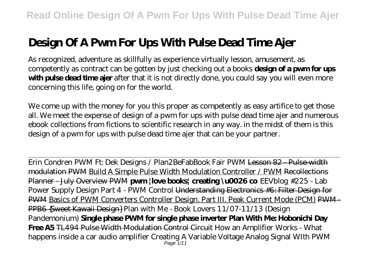# **Design Of A Pwm For Ups With Pulse Dead Time Ajer**

As recognized, adventure as skillfully as experience virtually lesson, amusement, as competently as contract can be gotten by just checking out a books **design of a pwm for ups with pulse dead time ajer** after that it is not directly done, you could say you will even more concerning this life, going on for the world.

We come up with the money for you this proper as competently as easy artifice to get those all. We meet the expense of design of a pwm for ups with pulse dead time ajer and numerous ebook collections from fictions to scientific research in any way. in the midst of them is this design of a pwm for ups with pulse dead time ajer that can be your partner.

Erin Condren PWM Ft: Dek Designs / Plan2BeFab*Book Fair PWM* Lesson 82 - Pulse-width modulation PWM Build A Simple Pulse Width Modulation Controller / PWM Recollections Planner - July Overview PWM **pwm |love books| creating \u0026 co** *EEVblog #225 - Lab Power Supply Design Part 4 - PWM Control* Understanding Electronics #6: Filter Design for PWM Basics of PWM Converters Controller Design. Part III. Peak Current Mode (PCM) PWM-PPB6 {Sweet Kawaii Design} *Plan with Me - Book Lovers 11/07-11/13 (Design Pandemonium)* **Single phase PWM for single phase inverter Plan With Me: Hobonichi Day Free A5** TL494 Pulse Width Modulation Control Circuit *How an Amplifier Works - What happens inside a car audio amplifier Creating A Variable Voltage Analog Signal WIth PWM* Page 1/11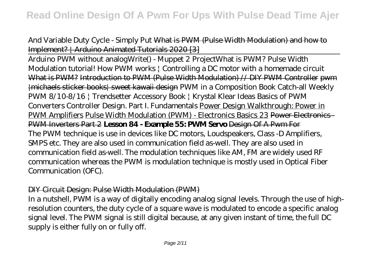*And Variable Duty Cycle - Simply Put* What is PWM (Pulse Width Modulation) and how to Implement? | Arduino Animated Tutorials 2020 [3]

Arduino PWM without analogWrite() - Muppet 2 Project*What is PWM? Pulse Width Modulation tutorial! How PWM works | Controlling a DC motor with a homemade circuit* What is PWM? Introduction to PWM (Pulse Width Modulation) // DIY PWM Controller pwm |michaels sticker books| sweet kawaii design PWM in a Composition Book Catch-all Weekly PWM 8/10-8/16 | Trendsetter Accessory Book | Krystal Klear Ideas Basics of PWM Converters Controller Design. Part I. Fundamentals Power Design Walkthrough: Power in PWM Amplifiers Pulse Width Modulation (PWM) - Electronics Basics 23 Power Electronics - PWM Inverters Part 2 **Lesson 84 - Example 55: PWM Servo** Design Of A Pwm For The PWM technique is use in devices like DC motors, Loudspeakers, Class -D Amplifiers, SMPS etc. They are also used in communication field as-well. They are also used in communication field as-well. The modulation techniques like AM, FM are widely used RF communication whereas the PWM is modulation technique is mostly used in Optical Fiber Communication (OFC).

#### DIY Circuit Design: Pulse Width Modulation (PWM)

In a nutshell, PWM is a way of digitally encoding analog signal levels. Through the use of highresolution counters, the duty cycle of a square wave is modulated to encode a specific analog signal level. The PWM signal is still digital because, at any given instant of time, the full DC supply is either fully on or fully off.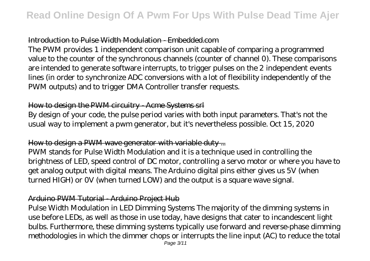## Introduction to Pulse Width Modulation - Embedded.com

The PWM provides 1 independent comparison unit capable of comparing a programmed value to the counter of the synchronous channels (counter of channel 0). These comparisons are intended to generate software interrupts, to trigger pulses on the 2 independent events lines (in order to synchronize ADC conversions with a lot of flexibility independently of the PWM outputs) and to trigger DMA Controller transfer requests.

## How to design the PWM circuitry - Acme Systems srl

By design of your code, the pulse period varies with both input parameters. That's not the usual way to implement a pwm generator, but it's nevertheless possible. Oct 15, 2020

# How to design a PWM wave generator with variable duty ...

PWM stands for Pulse Width Modulation and it is a technique used in controlling the brightness of LED, speed control of DC motor, controlling a servo motor or where you have to get analog output with digital means. The Arduino digital pins either gives us 5V (when turned HIGH) or 0V (when turned LOW) and the output is a square wave signal.

#### Arduino PWM Tutorial - Arduino Project Hub

Pulse Width Modulation in LED Dimming Systems The majority of the dimming systems in use before LEDs, as well as those in use today, have designs that cater to incandescent light bulbs. Furthermore, these dimming systems typically use forward and reverse-phase dimming methodologies in which the dimmer chops or interrupts the line input (AC) to reduce the total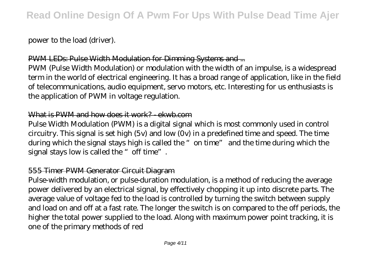power to the load (driver).

# PWM LEDs: Pulse Width Modulation for Dimming Systems and ...

PWM (Pulse Width Modulation) or modulation with the width of an impulse, is a widespread term in the world of electrical engineering. It has a broad range of application, like in the field of telecommunications, audio equipment, servo motors, etc. Interesting for us enthusiasts is the application of PWM in voltage regulation.

#### What is PWM and how does it work? - ekwb.com

Pulse Width Modulation (PWM) is a digital signal which is most commonly used in control circuitry. This signal is set high (5v) and low (0v) in a predefined time and speed. The time during which the signal stays high is called the "on time" and the time during which the signal stays low is called the "off time".

#### 555 Timer PWM Generator Circuit Diagram

Pulse-width modulation, or pulse-duration modulation, is a method of reducing the average power delivered by an electrical signal, by effectively chopping it up into discrete parts. The average value of voltage fed to the load is controlled by turning the switch between supply and load on and off at a fast rate. The longer the switch is on compared to the off periods, the higher the total power supplied to the load. Along with maximum power point tracking, it is one of the primary methods of red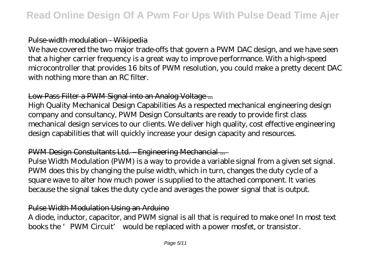## Pulse-width modulation - Wikipedia

We have covered the two major trade-offs that govern a PWM DAC design, and we have seen that a higher carrier frequency is a great way to improve performance. With a high-speed microcontroller that provides 16 bits of PWM resolution, you could make a pretty decent DAC with nothing more than an RC filter.

# Low-Pass Filter a PWM Signal into an Analog Voltage ...

High Quality Mechanical Design Capabilities As a respected mechanical engineering design company and consultancy, PWM Design Consultants are ready to provide first class mechanical design services to our clients. We deliver high quality, cost effective engineering design capabilities that will quickly increase your design capacity and resources.

# PWM Design Constultants Ltd. – Engineering Mechancial ...

Pulse Width Modulation (PWM) is a way to provide a variable signal from a given set signal. PWM does this by changing the pulse width, which in turn, changes the duty cycle of a square wave to alter how much power is supplied to the attached component. It varies because the signal takes the duty cycle and averages the power signal that is output.

## Pulse Width Modulation Using an Arduino

A diode, inductor, capacitor, and PWM signal is all that is required to make one! In most text books the 'PWM Circuit' would be replaced with a power mosfet, or transistor.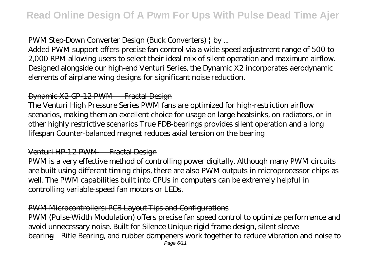# PWM Step-Down Converter Design (Buck Converters) | by ...

Added PWM support offers precise fan control via a wide speed adjustment range of 500 to 2,000 RPM allowing users to select their ideal mix of silent operation and maximum airflow. Designed alongside our high-end Venturi Series, the Dynamic X2 incorporates aerodynamic elements of airplane wing designs for significant noise reduction.

## Dynamic X2 GP-12 PWM — Fractal Design

The Venturi High Pressure Series PWM fans are optimized for high-restriction airflow scenarios, making them an excellent choice for usage on large heatsinks, on radiators, or in other highly restrictive scenarios True FDB-bearings provides silent operation and a long lifespan Counter-balanced magnet reduces axial tension on the bearing

## Venturi HP-12 PWM — Fractal Design

PWM is a very effective method of controlling power digitally. Although many PWM circuits are built using different timing chips, there are also PWM outputs in microprocessor chips as well. The PWM capabilities built into CPUs in computers can be extremely helpful in controlling variable-speed fan motors or LEDs.

# PWM Microcontrollers: PCB Layout Tips and Configurations

PWM (Pulse-Width Modulation) offers precise fan speed control to optimize performance and avoid unnecessary noise. Built for Silence Unique rigid frame design, silent sleeve bearing—Rifle Bearing, and rubber dampeners work together to reduce vibration and noise to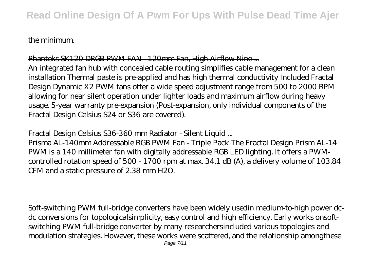#### the minimum.

#### Phanteks SK120 DRGB PWM FAN - 120mm Fan, High Airflow Nine ...

An integrated fan hub with concealed cable routing simplifies cable management for a clean installation Thermal paste is pre-applied and has high thermal conductivity Included Fractal Design Dynamic X2 PWM fans offer a wide speed adjustment range from 500 to 2000 RPM allowing for near silent operation under lighter loads and maximum airflow during heavy usage. 5-year warranty pre-expansion (Post-expansion, only individual components of the Fractal Design Celsius S24 or S36 are covered).

Fractal Design Celsius S36-360 mm Radiator - Silent Liquid ...

Prisma AL-140mm Addressable RGB PWM Fan - Triple Pack The Fractal Design Prism AL-14 PWM is a 140 millimeter fan with digitally addressable RGB LED lighting. It offers a PWMcontrolled rotation speed of 500 - 1700 rpm at max. 34.1 dB (A), a delivery volume of 103.84 CFM and a static pressure of 2.38 mm H2O.

Soft-switching PWM full-bridge converters have been widely usedin medium-to-high power dcdc conversions for topologicalsimplicity, easy control and high efficiency. Early works onsoftswitching PWM full-bridge converter by many researchersincluded various topologies and modulation strategies. However, these works were scattered, and the relationship amongthese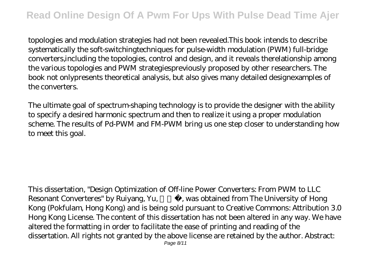topologies and modulation strategies had not been revealed.This book intends to describe systematically the soft-switchingtechniques for pulse-width modulation (PWM) full-bridge converters,including the topologies, control and design, and it reveals therelationship among the various topologies and PWM strategiespreviously proposed by other researchers. The book not onlypresents theoretical analysis, but also gives many detailed designexamples of the converters.

The ultimate goal of spectrum-shaping technology is to provide the designer with the ability to specify a desired harmonic spectrum and then to realize it using a proper modulation scheme. The results of Pd-PWM and FM-PWM bring us one step closer to understanding how to meet this goal.

This dissertation, "Design Optimization of Off-line Power Converters: From PWM to LLC Resonant Converteres" by Ruiyang, Yu, was obtained from The University of Hong Kong (Pokfulam, Hong Kong) and is being sold pursuant to Creative Commons: Attribution 3.0 Hong Kong License. The content of this dissertation has not been altered in any way. We have altered the formatting in order to facilitate the ease of printing and reading of the dissertation. All rights not granted by the above license are retained by the author. Abstract: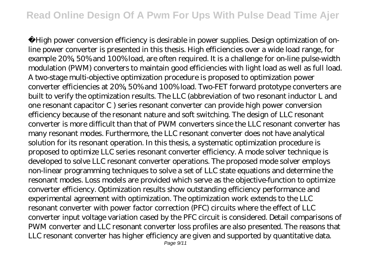High power conversion efficiency is desirable in power supplies. Design optimization of online power converter is presented in this thesis. High efficiencies over a wide load range, for example 20%, 50% and 100% load, are often required. It is a challenge for on-line pulse-width modulation (PWM) converters to maintain good efficiencies with light load as well as full load. A two-stage multi-objective optimization procedure is proposed to optimization power converter efficiencies at 20%, 50% and 100% load. Two-FET forward prototype converters are built to verify the optimization results. The LLC (abbreviation of two resonant inductor L and one resonant capacitor C ) series resonant converter can provide high power conversion efficiency because of the resonant nature and soft switching. The design of LLC resonant converter is more difficult than that of PWM converters since the LLC resonant converter has many resonant modes. Furthermore, the LLC resonant converter does not have analytical solution for its resonant operation. In this thesis, a systematic optimization procedure is proposed to optimize LLC series resonant converter efficiency. A mode solver technique is developed to solve LLC resonant converter operations. The proposed mode solver employs non-linear programming techniques to solve a set of LLC state equations and determine the resonant modes. Loss models are provided which serve as the objective-function to optimize converter efficiency. Optimization results show outstanding efficiency performance and experimental agreement with optimization. The optimization work extends to the LLC resonant converter with power factor correction (PFC) circuits where the effect of LLC converter input voltage variation cased by the PFC circuit is considered. Detail comparisons of PWM converter and LLC resonant converter loss profiles are also presented. The reasons that LLC resonant converter has higher efficiency are given and supported by quantitative data.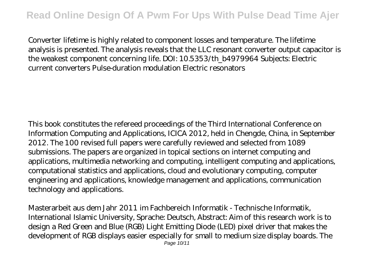Converter lifetime is highly related to component losses and temperature. The lifetime analysis is presented. The analysis reveals that the LLC resonant converter output capacitor is the weakest component concerning life. DOI: 10.5353/th\_b4979964 Subjects: Electric current converters Pulse-duration modulation Electric resonators

This book constitutes the refereed proceedings of the Third International Conference on Information Computing and Applications, ICICA 2012, held in Chengde, China, in September 2012. The 100 revised full papers were carefully reviewed and selected from 1089 submissions. The papers are organized in topical sections on internet computing and applications, multimedia networking and computing, intelligent computing and applications, computational statistics and applications, cloud and evolutionary computing, computer engineering and applications, knowledge management and applications, communication technology and applications.

Masterarbeit aus dem Jahr 2011 im Fachbereich Informatik - Technische Informatik, International Islamic University, Sprache: Deutsch, Abstract: Aim of this research work is to design a Red Green and Blue (RGB) Light Emitting Diode (LED) pixel driver that makes the development of RGB displays easier especially for small to medium size display boards. The Page 10/11